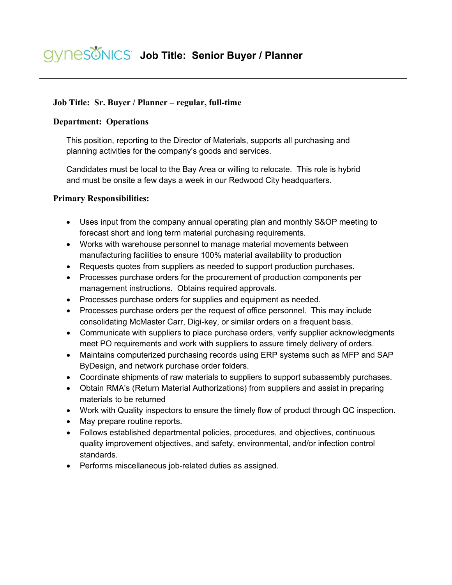## **Job Title: Sr. Buyer / Planner – regular, full-time**

## **Department: Operations**

This position, reporting to the Director of Materials, supports all purchasing and planning activities for the company's goods and services.

Candidates must be local to the Bay Area or willing to relocate. This role is hybrid and must be onsite a few days a week in our Redwood City headquarters.

## **Primary Responsibilities:**

- Uses input from the company annual operating plan and monthly S&OP meeting to forecast short and long term material purchasing requirements.
- Works with warehouse personnel to manage material movements between manufacturing facilities to ensure 100% material availability to production
- Requests quotes from suppliers as needed to support production purchases.
- Processes purchase orders for the procurement of production components per management instructions. Obtains required approvals.
- Processes purchase orders for supplies and equipment as needed.
- Processes purchase orders per the request of office personnel. This may include consolidating McMaster Carr, Digi-key, or similar orders on a frequent basis.
- Communicate with suppliers to place purchase orders, verify supplier acknowledgments meet PO requirements and work with suppliers to assure timely delivery of orders.
- Maintains computerized purchasing records using ERP systems such as MFP and SAP ByDesign, and network purchase order folders.
- Coordinate shipments of raw materials to suppliers to support subassembly purchases.
- Obtain RMA's (Return Material Authorizations) from suppliers and assist in preparing materials to be returned
- Work with Quality inspectors to ensure the timely flow of product through QC inspection.
- May prepare routine reports.
- Follows established departmental policies, procedures, and objectives, continuous quality improvement objectives, and safety, environmental, and/or infection control standards.
- Performs miscellaneous job-related duties as assigned.